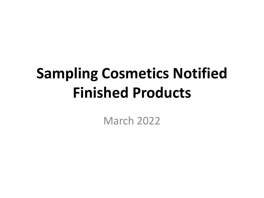## **Sampling Cosmetics Notified Finished Products**

March 2022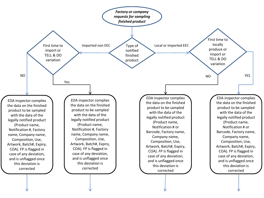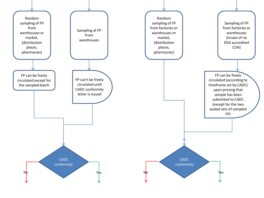